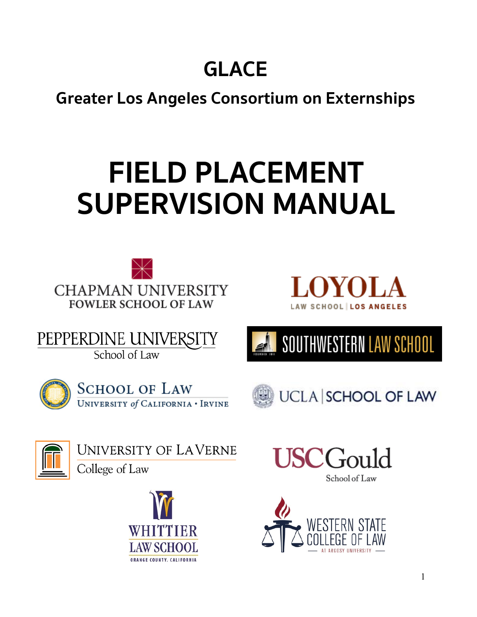## **GLACE**

**Greater Los Angeles Consortium on Externships**

# **FIELD PLACEMENT SUPERVISION MANUAL**





PEPPERDINE UNIVERSITY School of Law









UNIVERSITY OF LAVERNE

College of Law





School of Law

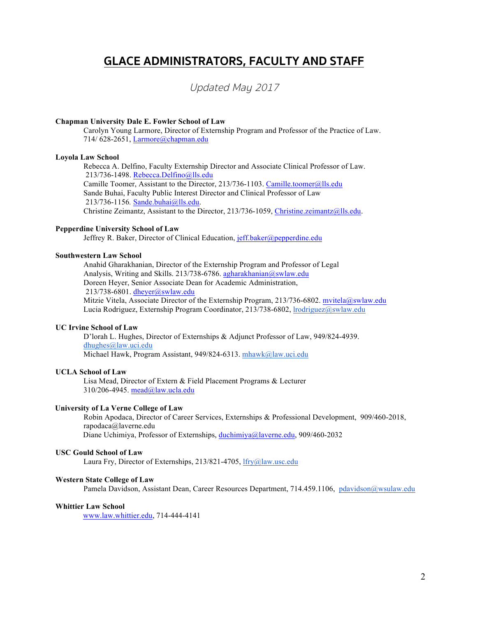## **GLACE ADMINISTRATORS, FACULTY AND STAFF**

### Updated May 2017

#### **Chapman University Dale E. Fowler School of Law**

Carolyn Young Larmore, Director of Externship Program and Professor of the Practice of Law. 714/ 628-2651, Larmore@chapman.edu

#### **Loyola Law School**

Rebecca A. Delfino, Faculty Externship Director and Associate Clinical Professor of Law. 213/736-1498. Rebecca.Delfino@lls.edu Camille Toomer, Assistant to the Director, 213/736-1103. Camille.toomer@lls.edu Sande Buhai, Faculty Public Interest Director and Clinical Professor of Law 213/736-1156*.* Sande.buhai@lls.edu. Christine Zeimantz, Assistant to the Director, 213/736-1059, Christine.zeimantz@lls.edu.

#### **Pepperdine University School of Law**

Jeffrey R. Baker, Director of Clinical Education, jeff.baker@pepperdine.edu

#### **Southwestern Law School**

Anahid Gharakhanian, Director of the Externship Program and Professor of Legal Analysis, Writing and Skills. 213/738-6786. agharakhanian@swlaw.edu Doreen Heyer, Senior Associate Dean for Academic Administration, 213/738-6801. dheyer@swlaw.edu Mitzie Vitela, Associate Director of the Externship Program, 213/736-6802. mvitela@swlaw.edu

Lucia Rodriguez, Externship Program Coordinator, 213/738-6802, lrodriguez@swlaw.edu

#### **UC Irvine School of Law**

D'lorah L. Hughes, Director of Externships & Adjunct Professor of Law, 949/824-4939. dhughes@law.uci.edu Michael Hawk, Program Assistant, 949/824-6313. mhawk@law.uci.edu

#### **UCLA School of Law**

Lisa Mead, Director of Extern & Field Placement Programs & Lecturer 310/206-4945. mead@law.ucla.edu

#### **University of La Verne College of Law**

Robin Apodaca, Director of Career Services, Externships & Professional Development, 909/460-2018, rapodaca@laverne.edu Diane Uchimiya, Professor of Externships, duchimiya@laverne.edu, 909/460-2032

#### **USC Gould School of Law**

Laura Fry, Director of Externships, 213/821-4705, lfry@law.usc.edu

#### **Western State College of Law**

Pamela Davidson, Assistant Dean, Career Resources Department, 714.459.1106, pdavidson@wsulaw.edu

#### **Whittier Law School**

www.law.whittier.edu, 714-444-4141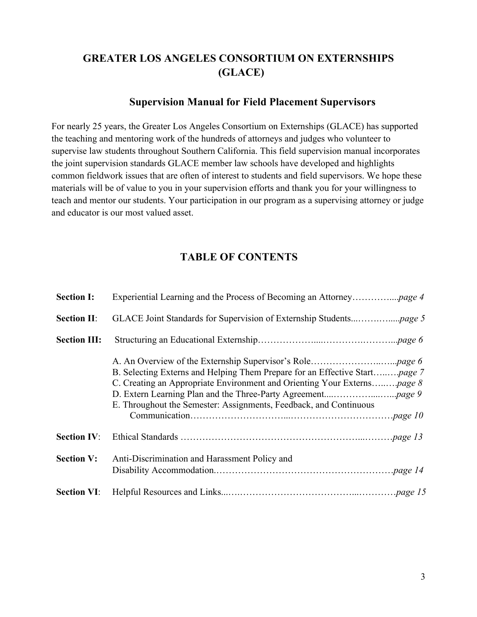## **GREATER LOS ANGELES CONSORTIUM ON EXTERNSHIPS (GLACE)**

#### **Supervision Manual for Field Placement Supervisors**

For nearly 25 years, the Greater Los Angeles Consortium on Externships (GLACE) has supported the teaching and mentoring work of the hundreds of attorneys and judges who volunteer to supervise law students throughout Southern California. This field supervision manual incorporates the joint supervision standards GLACE member law schools have developed and highlights common fieldwork issues that are often of interest to students and field supervisors. We hope these materials will be of value to you in your supervision efforts and thank you for your willingness to teach and mentor our students. Your participation in our program as a supervising attorney or judge and educator is our most valued asset.

### **TABLE OF CONTENTS**

| <b>Section I:</b>   |                                                                                                                                                                                                                                            |
|---------------------|--------------------------------------------------------------------------------------------------------------------------------------------------------------------------------------------------------------------------------------------|
| <b>Section II:</b>  |                                                                                                                                                                                                                                            |
| <b>Section III:</b> |                                                                                                                                                                                                                                            |
|                     | B. Selecting Externs and Helping Them Prepare for an Effective Start <i>page</i> 7<br>C. Creating an Appropriate Environment and Orienting Your Externs <i>page 8</i><br>E. Throughout the Semester: Assignments, Feedback, and Continuous |
| <b>Section IV:</b>  |                                                                                                                                                                                                                                            |
| <b>Section V:</b>   | Anti-Discrimination and Harassment Policy and                                                                                                                                                                                              |
| <b>Section VI:</b>  |                                                                                                                                                                                                                                            |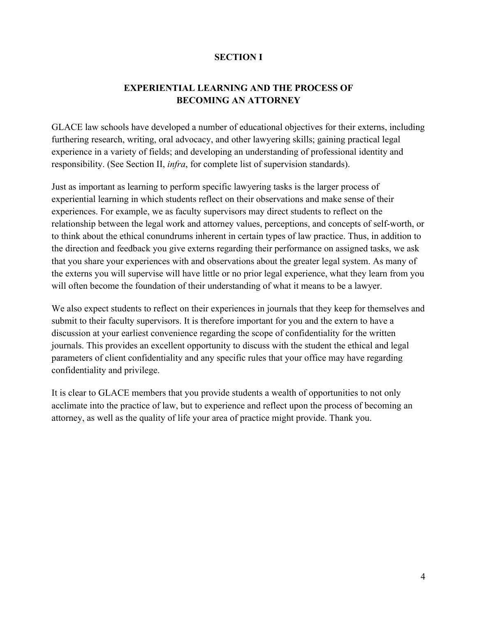#### **SECTION I**

#### **EXPERIENTIAL LEARNING AND THE PROCESS OF BECOMING AN ATTORNEY**

GLACE law schools have developed a number of educational objectives for their externs, including furthering research, writing, oral advocacy, and other lawyering skills; gaining practical legal experience in a variety of fields; and developing an understanding of professional identity and responsibility. (See Section II, *infra*, for complete list of supervision standards).

Just as important as learning to perform specific lawyering tasks is the larger process of experiential learning in which students reflect on their observations and make sense of their experiences. For example, we as faculty supervisors may direct students to reflect on the relationship between the legal work and attorney values, perceptions, and concepts of self-worth, or to think about the ethical conundrums inherent in certain types of law practice. Thus, in addition to the direction and feedback you give externs regarding their performance on assigned tasks, we ask that you share your experiences with and observations about the greater legal system. As many of the externs you will supervise will have little or no prior legal experience, what they learn from you will often become the foundation of their understanding of what it means to be a lawyer.

We also expect students to reflect on their experiences in journals that they keep for themselves and submit to their faculty supervisors. It is therefore important for you and the extern to have a discussion at your earliest convenience regarding the scope of confidentiality for the written journals. This provides an excellent opportunity to discuss with the student the ethical and legal parameters of client confidentiality and any specific rules that your office may have regarding confidentiality and privilege.

It is clear to GLACE members that you provide students a wealth of opportunities to not only acclimate into the practice of law, but to experience and reflect upon the process of becoming an attorney, as well as the quality of life your area of practice might provide. Thank you.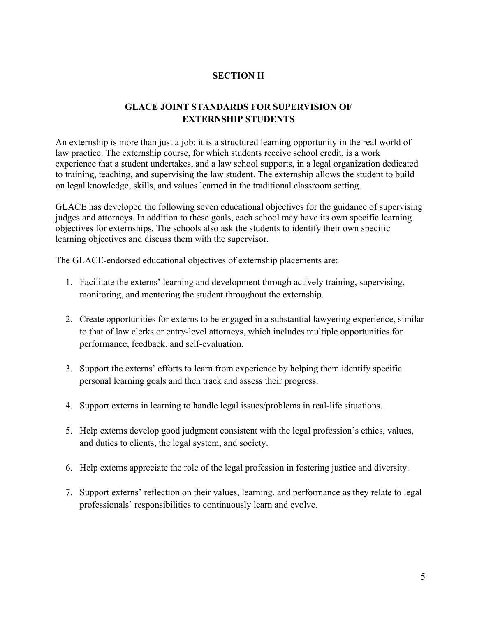#### **SECTION II**

#### **GLACE JOINT STANDARDS FOR SUPERVISION OF EXTERNSHIP STUDENTS**

An externship is more than just a job: it is a structured learning opportunity in the real world of law practice. The externship course, for which students receive school credit, is a work experience that a student undertakes, and a law school supports, in a legal organization dedicated to training, teaching, and supervising the law student. The externship allows the student to build on legal knowledge, skills, and values learned in the traditional classroom setting.

GLACE has developed the following seven educational objectives for the guidance of supervising judges and attorneys. In addition to these goals, each school may have its own specific learning objectives for externships. The schools also ask the students to identify their own specific learning objectives and discuss them with the supervisor.

The GLACE-endorsed educational objectives of externship placements are:

- 1. Facilitate the externs' learning and development through actively training, supervising, monitoring, and mentoring the student throughout the externship.
- 2. Create opportunities for externs to be engaged in a substantial lawyering experience, similar to that of law clerks or entry-level attorneys, which includes multiple opportunities for performance, feedback, and self-evaluation.
- 3. Support the externs' efforts to learn from experience by helping them identify specific personal learning goals and then track and assess their progress.
- 4. Support externs in learning to handle legal issues/problems in real-life situations.
- 5. Help externs develop good judgment consistent with the legal profession's ethics, values, and duties to clients, the legal system, and society.
- 6. Help externs appreciate the role of the legal profession in fostering justice and diversity.
- 7. Support externs' reflection on their values, learning, and performance as they relate to legal professionals' responsibilities to continuously learn and evolve.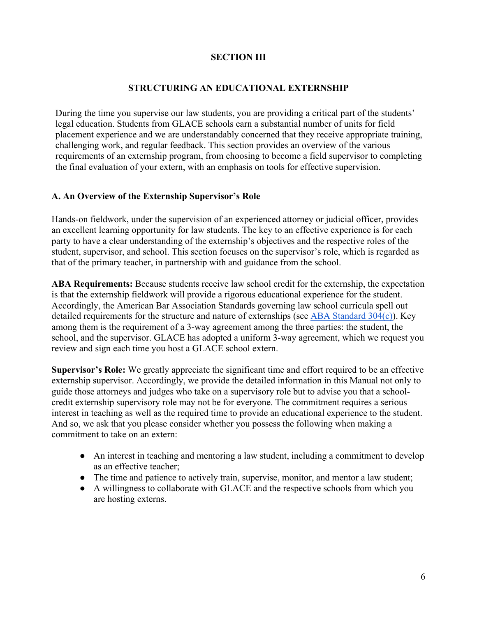#### **SECTION III**

#### **STRUCTURING AN EDUCATIONAL EXTERNSHIP**

During the time you supervise our law students, you are providing a critical part of the students' legal education. Students from GLACE schools earn a substantial number of units for field placement experience and we are understandably concerned that they receive appropriate training, challenging work, and regular feedback. This section provides an overview of the various requirements of an externship program, from choosing to become a field supervisor to completing the final evaluation of your extern, with an emphasis on tools for effective supervision.

#### **A. An Overview of the Externship Supervisor's Role**

Hands-on fieldwork, under the supervision of an experienced attorney or judicial officer, provides an excellent learning opportunity for law students. The key to an effective experience is for each party to have a clear understanding of the externship's objectives and the respective roles of the student, supervisor, and school. This section focuses on the supervisor's role, which is regarded as that of the primary teacher, in partnership with and guidance from the school.

**ABA Requirements:** Because students receive law school credit for the externship, the expectation is that the externship fieldwork will provide a rigorous educational experience for the student. Accordingly, the American Bar Association Standards governing law school curricula spell out detailed requirements for the structure and nature of externships (see ABA Standard 304(c)). Key among them is the requirement of a 3-way agreement among the three parties: the student, the school, and the supervisor. GLACE has adopted a uniform 3-way agreement, which we request you review and sign each time you host a GLACE school extern.

**Supervisor's Role:** We greatly appreciate the significant time and effort required to be an effective externship supervisor. Accordingly, we provide the detailed information in this Manual not only to guide those attorneys and judges who take on a supervisory role but to advise you that a schoolcredit externship supervisory role may not be for everyone. The commitment requires a serious interest in teaching as well as the required time to provide an educational experience to the student. And so, we ask that you please consider whether you possess the following when making a commitment to take on an extern:

- An interest in teaching and mentoring a law student, including a commitment to develop as an effective teacher;
- The time and patience to actively train, supervise, monitor, and mentor a law student;
- A willingness to collaborate with GLACE and the respective schools from which you are hosting externs.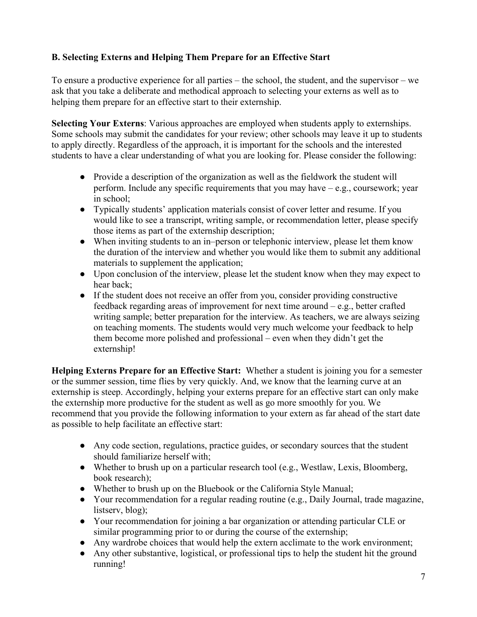#### **B. Selecting Externs and Helping Them Prepare for an Effective Start**

To ensure a productive experience for all parties – the school, the student, and the supervisor – we ask that you take a deliberate and methodical approach to selecting your externs as well as to helping them prepare for an effective start to their externship.

**Selecting Your Externs**: Various approaches are employed when students apply to externships. Some schools may submit the candidates for your review; other schools may leave it up to students to apply directly. Regardless of the approach, it is important for the schools and the interested students to have a clear understanding of what you are looking for. Please consider the following:

- Provide a description of the organization as well as the fieldwork the student will perform. Include any specific requirements that you may have – e.g., coursework; year in school;
- Typically students' application materials consist of cover letter and resume. If you would like to see a transcript, writing sample, or recommendation letter, please specify those items as part of the externship description;
- When inviting students to an in–person or telephonic interview, please let them know the duration of the interview and whether you would like them to submit any additional materials to supplement the application;
- Upon conclusion of the interview, please let the student know when they may expect to hear back;
- If the student does not receive an offer from you, consider providing constructive feedback regarding areas of improvement for next time around – e.g., better crafted writing sample; better preparation for the interview. As teachers, we are always seizing on teaching moments. The students would very much welcome your feedback to help them become more polished and professional – even when they didn't get the externship!

**Helping Externs Prepare for an Effective Start:** Whether a student is joining you for a semester or the summer session, time flies by very quickly. And, we know that the learning curve at an externship is steep. Accordingly, helping your externs prepare for an effective start can only make the externship more productive for the student as well as go more smoothly for you. We recommend that you provide the following information to your extern as far ahead of the start date as possible to help facilitate an effective start:

- Any code section, regulations, practice guides, or secondary sources that the student should familiarize herself with;
- Whether to brush up on a particular research tool (e.g., Westlaw, Lexis, Bloomberg, book research);
- Whether to brush up on the Bluebook or the California Style Manual;
- Your recommendation for a regular reading routine (e.g., Daily Journal, trade magazine, listserv, blog);
- Your recommendation for joining a bar organization or attending particular CLE or similar programming prior to or during the course of the externship;
- Any wardrobe choices that would help the extern acclimate to the work environment;
- Any other substantive, logistical, or professional tips to help the student hit the ground running!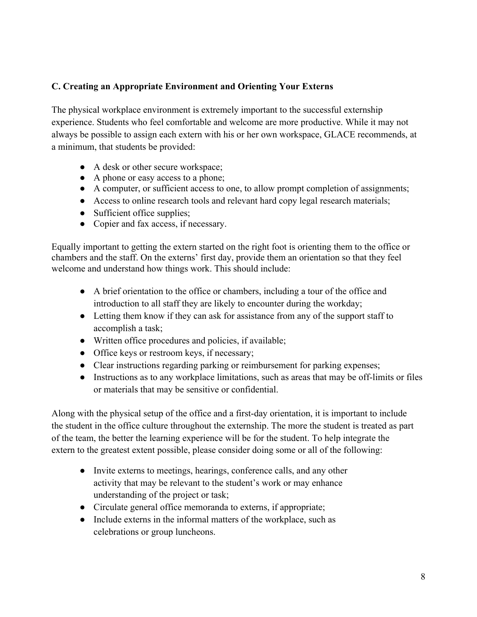#### **C. Creating an Appropriate Environment and Orienting Your Externs**

The physical workplace environment is extremely important to the successful externship experience. Students who feel comfortable and welcome are more productive. While it may not always be possible to assign each extern with his or her own workspace, GLACE recommends, at a minimum, that students be provided:

- A desk or other secure workspace;
- A phone or easy access to a phone;
- A computer, or sufficient access to one, to allow prompt completion of assignments;
- Access to online research tools and relevant hard copy legal research materials;
- Sufficient office supplies;
- Copier and fax access, if necessary.

Equally important to getting the extern started on the right foot is orienting them to the office or chambers and the staff. On the externs' first day, provide them an orientation so that they feel welcome and understand how things work. This should include:

- A brief orientation to the office or chambers, including a tour of the office and introduction to all staff they are likely to encounter during the workday;
- Letting them know if they can ask for assistance from any of the support staff to accomplish a task;
- Written office procedures and policies, if available;
- Office keys or restroom keys, if necessary;
- Clear instructions regarding parking or reimbursement for parking expenses;
- Instructions as to any workplace limitations, such as areas that may be off-limits or files or materials that may be sensitive or confidential.

Along with the physical setup of the office and a first-day orientation, it is important to include the student in the office culture throughout the externship. The more the student is treated as part of the team, the better the learning experience will be for the student. To help integrate the extern to the greatest extent possible, please consider doing some or all of the following:

- Invite externs to meetings, hearings, conference calls, and any other activity that may be relevant to the student's work or may enhance understanding of the project or task;
- Circulate general office memoranda to externs, if appropriate;
- Include externs in the informal matters of the workplace, such as celebrations or group luncheons.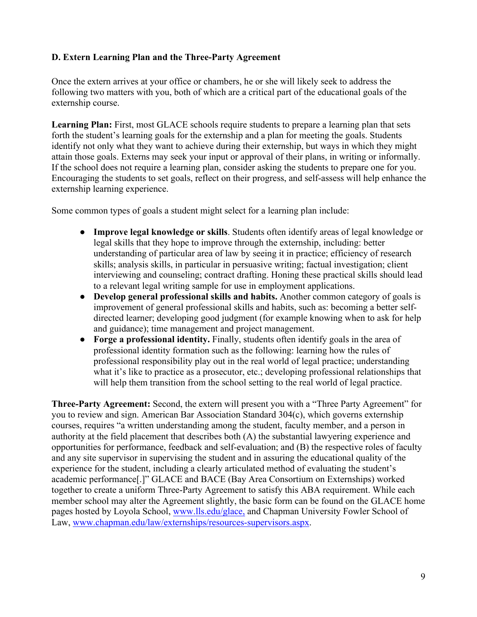#### **D. Extern Learning Plan and the Three-Party Agreement**

Once the extern arrives at your office or chambers, he or she will likely seek to address the following two matters with you, both of which are a critical part of the educational goals of the externship course.

**Learning Plan:** First, most GLACE schools require students to prepare a learning plan that sets forth the student's learning goals for the externship and a plan for meeting the goals. Students identify not only what they want to achieve during their externship, but ways in which they might attain those goals. Externs may seek your input or approval of their plans, in writing or informally. If the school does not require a learning plan, consider asking the students to prepare one for you. Encouraging the students to set goals, reflect on their progress, and self-assess will help enhance the externship learning experience.

Some common types of goals a student might select for a learning plan include:

- **Improve legal knowledge or skills**. Students often identify areas of legal knowledge or legal skills that they hope to improve through the externship, including: better understanding of particular area of law by seeing it in practice; efficiency of research skills; analysis skills, in particular in persuasive writing; factual investigation; client interviewing and counseling; contract drafting. Honing these practical skills should lead to a relevant legal writing sample for use in employment applications.
- **Develop general professional skills and habits.** Another common category of goals is improvement of general professional skills and habits, such as: becoming a better selfdirected learner; developing good judgment (for example knowing when to ask for help and guidance); time management and project management.
- Forge a professional identity. Finally, students often identify goals in the area of professional identity formation such as the following: learning how the rules of professional responsibility play out in the real world of legal practice; understanding what it's like to practice as a prosecutor, etc.; developing professional relationships that will help them transition from the school setting to the real world of legal practice.

**Three-Party Agreement:** Second, the extern will present you with a "Three Party Agreement" for you to review and sign. American Bar Association Standard 304(c), which governs externship courses, requires "a written understanding among the student, faculty member, and a person in authority at the field placement that describes both (A) the substantial lawyering experience and opportunities for performance, feedback and self-evaluation; and (B) the respective roles of faculty and any site supervisor in supervising the student and in assuring the educational quality of the experience for the student, including a clearly articulated method of evaluating the student's academic performance[.]" GLACE and BACE (Bay Area Consortium on Externships) worked together to create a uniform Three-Party Agreement to satisfy this ABA requirement. While each member school may alter the Agreement slightly, the basic form can be found on the GLACE home pages hosted by Loyola School, www.lls.edu/glace, and Chapman University Fowler School of Law, www.chapman.edu/law/externships/resources-supervisors.aspx.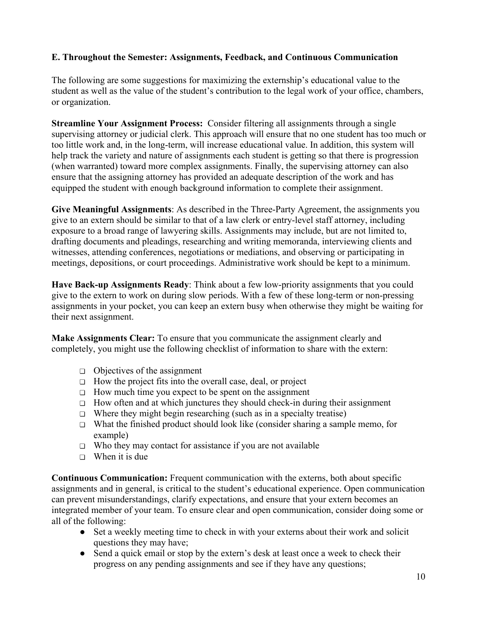#### **E. Throughout the Semester: Assignments, Feedback, and Continuous Communication**

The following are some suggestions for maximizing the externship's educational value to the student as well as the value of the student's contribution to the legal work of your office, chambers, or organization.

**Streamline Your Assignment Process:** Consider filtering all assignments through a single supervising attorney or judicial clerk. This approach will ensure that no one student has too much or too little work and, in the long-term, will increase educational value. In addition, this system will help track the variety and nature of assignments each student is getting so that there is progression (when warranted) toward more complex assignments. Finally, the supervising attorney can also ensure that the assigning attorney has provided an adequate description of the work and has equipped the student with enough background information to complete their assignment.

**Give Meaningful Assignments**: As described in the Three-Party Agreement, the assignments you give to an extern should be similar to that of a law clerk or entry-level staff attorney, including exposure to a broad range of lawyering skills. Assignments may include, but are not limited to, drafting documents and pleadings, researching and writing memoranda, interviewing clients and witnesses, attending conferences, negotiations or mediations, and observing or participating in meetings, depositions, or court proceedings. Administrative work should be kept to a minimum.

**Have Back-up Assignments Ready**: Think about a few low-priority assignments that you could give to the extern to work on during slow periods. With a few of these long-term or non-pressing assignments in your pocket, you can keep an extern busy when otherwise they might be waiting for their next assignment.

**Make Assignments Clear:** To ensure that you communicate the assignment clearly and completely, you might use the following checklist of information to share with the extern:

- ❏ Objectives of the assignment
- ❏ How the project fits into the overall case, deal, or project
- ❏ How much time you expect to be spent on the assignment
- ❏ How often and at which junctures they should check-in during their assignment
- $\Box$  Where they might begin researching (such as in a specialty treatise)
- ❏ What the finished product should look like (consider sharing a sample memo, for example)
- ❏ Who they may contact for assistance if you are not available
- $\Box$  When it is due

**Continuous Communication:** Frequent communication with the externs, both about specific assignments and in general, is critical to the student's educational experience. Open communication can prevent misunderstandings, clarify expectations, and ensure that your extern becomes an integrated member of your team. To ensure clear and open communication, consider doing some or all of the following:

- Set a weekly meeting time to check in with your externs about their work and solicit questions they may have;
- Send a quick email or stop by the extern's desk at least once a week to check their progress on any pending assignments and see if they have any questions;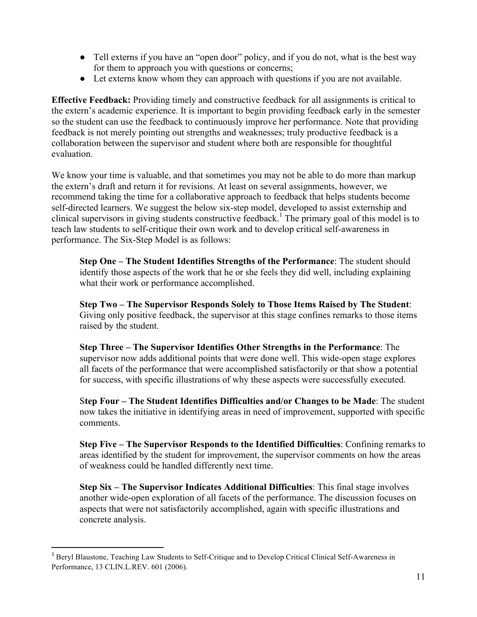- Tell externs if you have an "open door" policy, and if you do not, what is the best way for them to approach you with questions or concerns;
- Let externs know whom they can approach with questions if you are not available.

**Effective Feedback:** Providing timely and constructive feedback for all assignments is critical to the extern's academic experience. It is important to begin providing feedback early in the semester so the student can use the feedback to continuously improve her performance. Note that providing feedback is not merely pointing out strengths and weaknesses; truly productive feedback is a collaboration between the supervisor and student where both are responsible for thoughtful evaluation.

We know your time is valuable, and that sometimes you may not be able to do more than markup the extern's draft and return it for revisions. At least on several assignments, however, we recommend taking the time for a collaborative approach to feedback that helps students become self-directed learners. We suggest the below six-step model, developed to assist externship and clinical supervisors in giving students constructive feedback.<sup>1</sup> The primary goal of this model is to teach law students to self-critique their own work and to develop critical self-awareness in performance. The Six-Step Model is as follows:

**Step One – The Student Identifies Strengths of the Performance**: The student should identify those aspects of the work that he or she feels they did well, including explaining what their work or performance accomplished.

**Step Two – The Supervisor Responds Solely to Those Items Raised by The Student**: Giving only positive feedback, the supervisor at this stage confines remarks to those items raised by the student.

**Step Three – The Supervisor Identifies Other Strengths in the Performance**: The supervisor now adds additional points that were done well. This wide-open stage explores all facets of the performance that were accomplished satisfactorily or that show a potential for success, with specific illustrations of why these aspects were successfully executed.

S**tep Four – The Student Identifies Difficulties and/or Changes to be Made**: The student now takes the initiative in identifying areas in need of improvement, supported with specific comments.

**Step Five – The Supervisor Responds to the Identified Difficulties**: Confining remarks to areas identified by the student for improvement, the supervisor comments on how the areas of weakness could be handled differently next time.

**Step Six – The Supervisor Indicates Additional Difficulties**: This final stage involves another wide-open exploration of all facets of the performance. The discussion focuses on aspects that were not satisfactorily accomplished, again with specific illustrations and concrete analysis.

 

<sup>1</sup> Beryl Blaustone, Teaching Law Students to Self-Critique and to Develop Critical Clinical Self-Awareness in Performance, 13 CLIN.L.REV. 601 (2006).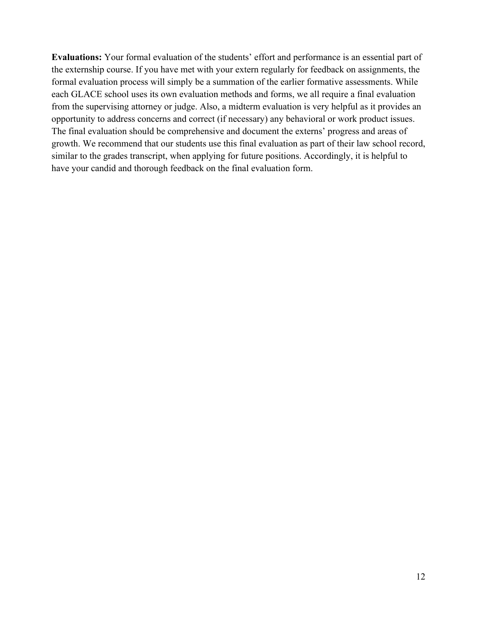**Evaluations:** Your formal evaluation of the students' effort and performance is an essential part of the externship course. If you have met with your extern regularly for feedback on assignments, the formal evaluation process will simply be a summation of the earlier formative assessments. While each GLACE school uses its own evaluation methods and forms, we all require a final evaluation from the supervising attorney or judge. Also, a midterm evaluation is very helpful as it provides an opportunity to address concerns and correct (if necessary) any behavioral or work product issues. The final evaluation should be comprehensive and document the externs' progress and areas of growth. We recommend that our students use this final evaluation as part of their law school record, similar to the grades transcript, when applying for future positions. Accordingly, it is helpful to have your candid and thorough feedback on the final evaluation form.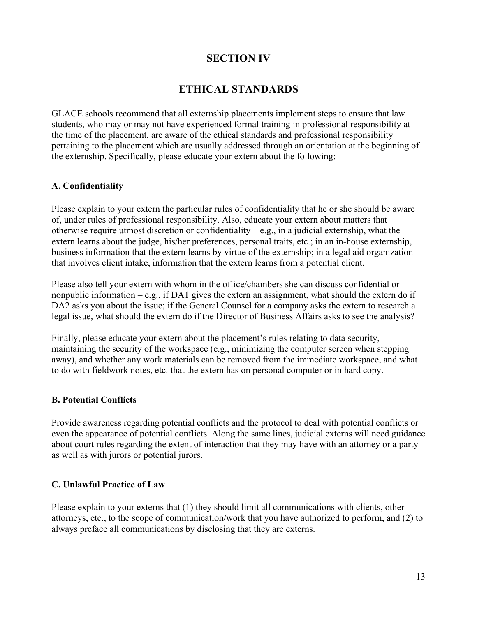## **SECTION IV**

## **ETHICAL STANDARDS**

GLACE schools recommend that all externship placements implement steps to ensure that law students, who may or may not have experienced formal training in professional responsibility at the time of the placement, are aware of the ethical standards and professional responsibility pertaining to the placement which are usually addressed through an orientation at the beginning of the externship. Specifically, please educate your extern about the following:

#### **A. Confidentiality**

Please explain to your extern the particular rules of confidentiality that he or she should be aware of, under rules of professional responsibility. Also, educate your extern about matters that otherwise require utmost discretion or confidentiality – e.g., in a judicial externship, what the extern learns about the judge, his/her preferences, personal traits, etc.; in an in-house externship, business information that the extern learns by virtue of the externship; in a legal aid organization that involves client intake, information that the extern learns from a potential client.

Please also tell your extern with whom in the office/chambers she can discuss confidential or nonpublic information – e.g., if DA1 gives the extern an assignment, what should the extern do if DA2 asks you about the issue; if the General Counsel for a company asks the extern to research a legal issue, what should the extern do if the Director of Business Affairs asks to see the analysis?

Finally, please educate your extern about the placement's rules relating to data security, maintaining the security of the workspace (e.g., minimizing the computer screen when stepping away), and whether any work materials can be removed from the immediate workspace, and what to do with fieldwork notes, etc. that the extern has on personal computer or in hard copy.

#### **B. Potential Conflicts**

Provide awareness regarding potential conflicts and the protocol to deal with potential conflicts or even the appearance of potential conflicts. Along the same lines, judicial externs will need guidance about court rules regarding the extent of interaction that they may have with an attorney or a party as well as with jurors or potential jurors.

#### **C. Unlawful Practice of Law**

Please explain to your externs that (1) they should limit all communications with clients, other attorneys, etc., to the scope of communication/work that you have authorized to perform, and (2) to always preface all communications by disclosing that they are externs.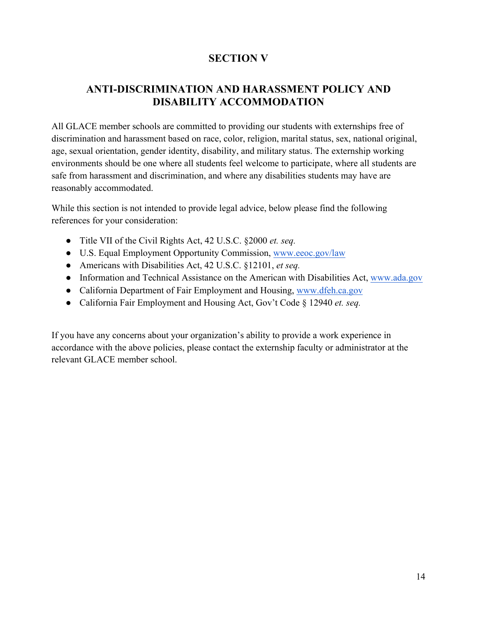## **SECTION V**

## **ANTI-DISCRIMINATION AND HARASSMENT POLICY AND DISABILITY ACCOMMODATION**

All GLACE member schools are committed to providing our students with externships free of discrimination and harassment based on race, color, religion, marital status, sex, national original, age, sexual orientation, gender identity, disability, and military status. The externship working environments should be one where all students feel welcome to participate, where all students are safe from harassment and discrimination, and where any disabilities students may have are reasonably accommodated.

While this section is not intended to provide legal advice, below please find the following references for your consideration:

- Title VII of the Civil Rights Act, 42 U.S.C. §2000 *et. seq.*
- U.S. Equal Employment Opportunity Commission, www.eeoc.gov/law
- Americans with Disabilities Act, 42 U.S.C. §12101, *et seq.*
- Information and Technical Assistance on the American with Disabilities Act, www.ada.gov
- California Department of Fair Employment and Housing, www.dfeh.ca.gov
- California Fair Employment and Housing Act, Gov't Code § 12940 *et. seq.*

If you have any concerns about your organization's ability to provide a work experience in accordance with the above policies, please contact the externship faculty or administrator at the relevant GLACE member school.